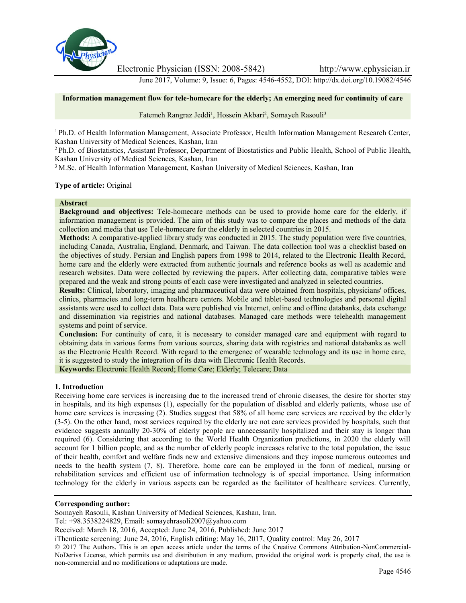

Electronic Physician (ISSN: 2008-5842) http://www.ephysician.ir

June 2017, Volume: 9, Issue: 6, Pages: 4546-4552, DOI: http://dx.doi.org/10.19082/4546

#### **Information management flow for tele-homecare for the elderly; An emerging need for continuity of care**

Fatemeh Rangraz Jeddi<sup>1</sup>, Hossein Akbari<sup>2</sup>, Somayeh Rasouli<sup>3</sup>

<sup>1</sup> Ph.D. of Health Information Management, Associate Professor, Health Information Management Research Center, Kashan University of Medical Sciences, Kashan, Iran

<sup>2</sup> Ph.D. of Biostatistics, Assistant Professor, Department of Biostatistics and Public Health, School of Public Health, Kashan University of Medical Sciences, Kashan, Iran

<sup>3</sup> M.Sc. of Health Information Management, Kashan University of Medical Sciences, Kashan, Iran

**Type of article:** Original

#### **Abstract**

**Background and objectives:** Tele-homecare methods can be used to provide home care for the elderly, if information management is provided. The aim of this study was to compare the places and methods of the data collection and media that use Tele-homecare for the elderly in selected countries in 2015.

**Methods:** A comparative-applied library study was conducted in 2015. The study population were five countries, including Canada, Australia, England, Denmark, and Taiwan. The data collection tool was a checklist based on the objectives of study. Persian and English papers from 1998 to 2014, related to the Electronic Health Record, home care and the elderly were extracted from authentic journals and reference books as well as academic and research websites. Data were collected by reviewing the papers. After collecting data, comparative tables were prepared and the weak and strong points of each case were investigated and analyzed in selected countries.

**Results:** Clinical, laboratory, imaging and pharmaceutical data were obtained from hospitals, physicians' offices, clinics, pharmacies and long-term healthcare centers. Mobile and tablet-based technologies and personal digital assistants were used to collect data. Data were published via Internet, online and offline databanks, data exchange and dissemination via registries and national databases. Managed care methods were telehealth management systems and point of service.

**Conclusion:** For continuity of care, it is necessary to consider managed care and equipment with regard to obtaining data in various forms from various sources, sharing data with registries and national databanks as well as the Electronic Health Record. With regard to the emergence of wearable technology and its use in home care, it is suggested to study the integration of its data with Electronic Health Records.

**Keywords:** Electronic Health Record; Home Care; Elderly; Telecare; Data

### **1. Introduction**

Receiving home care services is increasing due to the increased trend of chronic diseases, the desire for shorter stay in hospitals, and its high expenses (1), especially for the population of disabled and elderly patients, whose use of home care services is increasing (2). Studies suggest that 58% of all home care services are received by the elderly (3-5). On the other hand, most services required by the elderly are not care services provided by hospitals, such that evidence suggests annually 20-30% of elderly people are unnecessarily hospitalized and their stay is longer than required (6). Considering that according to the World Health Organization predictions, in 2020 the elderly will account for 1 billion people, and as the number of elderly people increases relative to the total population, the issue of their health, comfort and welfare finds new and extensive dimensions and they impose numerous outcomes and needs to the health system (7, 8). Therefore, home care can be employed in the form of medical, nursing or rehabilitation services and efficient use of information technology is of special importance. Using information technology for the elderly in various aspects can be regarded as the facilitator of healthcare services. Currently,

#### **Corresponding author:**

Somayeh Rasouli, Kashan University of Medical Sciences, Kashan, Iran.

Tel: +98.3538224829, Email: somayehrasoli2007@yahoo.com

Received: March 18, 2016, Accepted: June 24, 2016, Published: June 2017

iThenticate screening: June 24, 2016, English editing: May 16, 2017, Quality control: May 26, 2017

© 2017 The Authors. This is an open access article under the terms of the Creative Commons Attribution-NonCommercial- NoDerivs License, which permits use and distribution in any medium, provided the original work is properly cited, the use is non-commercial and no modifications or adaptations are made.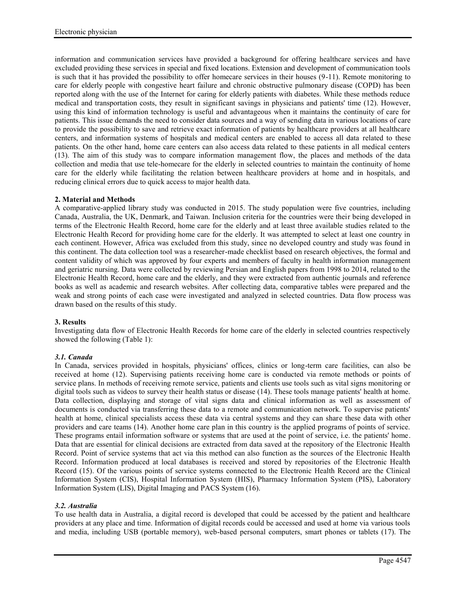information and communication services have provided a background for offering healthcare services and have excluded providing these services in special and fixed locations. Extension and development of communication tools is such that it has provided the possibility to offer homecare services in their houses (9-11). Remote monitoring to care for elderly people with congestive heart failure and chronic obstructive pulmonary disease (COPD) has been reported along with the use of the Internet for caring for elderly patients with diabetes. While these methods reduce medical and transportation costs, they result in significant savings in physicians and patients' time (12). However, using this kind of information technology is useful and advantageous when it maintains the continuity of care for patients. This issue demands the need to consider data sources and a way of sending data in various locations of care to provide the possibility to save and retrieve exact information of patients by healthcare providers at all healthcare centers, and information systems of hospitals and medical centers are enabled to access all data related to these patients. On the other hand, home care centers can also access data related to these patients in all medical centers (13). The aim of this study was to compare information management flow, the places and methods of the data collection and media that use tele-homecare for the elderly in selected countries to maintain the continuity of home care for the elderly while facilitating the relation between healthcare providers at home and in hospitals, and reducing clinical errors due to quick access to major health data.

# **2. Material and Methods**

A comparative-applied library study was conducted in 2015. The study population were five countries, including Canada, Australia, the UK, Denmark, and Taiwan. Inclusion criteria for the countries were their being developed in terms of the Electronic Health Record, home care for the elderly and at least three available studies related to the Electronic Health Record for providing home care for the elderly. It was attempted to select at least one country in each continent. However, Africa was excluded from this study, since no developed country and study was found in this continent. The data collection tool was a researcher-made checklist based on research objectives, the formal and content validity of which was approved by four experts and members of faculty in health information management and geriatric nursing. Data were collected by reviewing Persian and English papers from 1998 to 2014, related to the Electronic Health Record, home care and the elderly, and they were extracted from authentic journals and reference books as well as academic and research websites. After collecting data, comparative tables were prepared and the weak and strong points of each case were investigated and analyzed in selected countries. Data flow process was drawn based on the results of this study.

# **3. Results**

Investigating data flow of Electronic Health Records for home care of the elderly in selected countries respectively showed the following (Table 1):

# *3.1. Canada*

In Canada, services provided in hospitals, physicians' offices, clinics or long-term care facilities, can also be received at home (12). Supervising patients receiving home care is conducted via remote methods or points of service plans. In methods of receiving remote service, patients and clients use tools such as vital signs monitoring or digital tools such as videos to survey their health status or disease (14). These tools manage patients' health at home. Data collection, displaying and storage of vital signs data and clinical information as well as assessment of documents is conducted via transferring these data to a remote and communication network. To supervise patients' health at home, clinical specialists access these data via central systems and they can share these data with other providers and care teams (14). Another home care plan in this country is the applied programs of points of service. These programs entail information software or systems that are used at the point of service, i.e. the patients' home. Data that are essential for clinical decisions are extracted from data saved at the repository of the Electronic Health Record. Point of service systems that act via this method can also function as the sources of the Electronic Health Record. Information produced at local databases is received and stored by repositories of the Electronic Health Record (15). Of the various points of service systems connected to the Electronic Health Record are the Clinical Information System (CIS), Hospital Information System (HIS), Pharmacy Information System (PIS), Laboratory Information System (LIS), Digital Imaging and PACS System (16).

# *3.2. Australia*

To use health data in Australia, a digital record is developed that could be accessed by the patient and healthcare providers at any place and time. Information of digital records could be accessed and used at home via various tools and media, including USB (portable memory), web-based personal computers, smart phones or tablets (17). The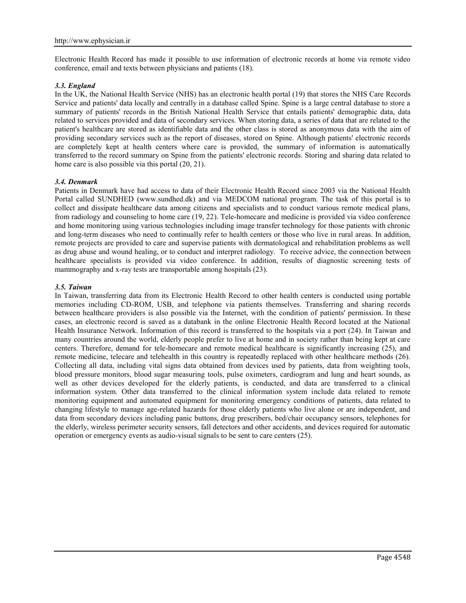Electronic Health Record has made it possible to use information of electronic records at home via remote video conference, email and texts between physicians and patients (18).

### *3.3. England*

In the UK, the National Health Service (NHS) has an electronic health portal (19) that stores the NHS Care Records Service and patients' data locally and centrally in a database called Spine. Spine is a large central database to store a summary of patients' records in the British National Health Service that entails patients' demographic data, data related to services provided and data of secondary services. When storing data, a series of data that are related to the patient's healthcare are stored as identifiable data and the other class is stored as anonymous data with the aim of providing secondary services such as the report of diseases, stored on Spine. Although patients' electronic records are completely kept at health centers where care is provided, the summary of information is automatically transferred to the record summary on Spine from the patients' electronic records. Storing and sharing data related to home care is also possible via this portal (20, 21).

### *3.4. Denmark*

Patients in Denmark have had access to data of their Electronic Health Record since 2003 via the National Health Portal called SUNDHED (www.sundhed.dk) and via MEDCOM national program. The task of this portal is to collect and dissipate healthcare data among citizens and specialists and to conduct various remote medical plans, from radiology and counseling to home care (19, 22). Tele-homecare and medicine is provided via video conference and home monitoring using various technologies including image transfer technology for those patients with chronic and long-term diseases who need to continually refer to health centers or those who live in rural areas. In addition, remote projects are provided to care and supervise patients with dermatological and rehabilitation problems as well as drug abuse and wound healing, or to conduct and interpret radiology. To receive advice, the connection between healthcare specialists is provided via video conference. In addition, results of diagnostic screening tests of mammography and x-ray tests are transportable among hospitals (23).

### *3.5. Taiwan*

In Taiwan, transferring data from its Electronic Health Record to other health centers is conducted using portable memories including CD-ROM, USB, and telephone via patients themselves. Transferring and sharing records between healthcare providers is also possible via the Internet, with the condition of patients' permission. In these cases, an electronic record is saved as a databank in the online Electronic Health Record located at the National Health Insurance Network. Information of this record is transferred to the hospitals via a port (24). In Taiwan and many countries around the world, elderly people prefer to live at home and in society rather than being kept at care centers. Therefore, demand for tele-homecare and remote medical healthcare is significantly increasing (25), and remote medicine, telecare and telehealth in this country is repeatedly replaced with other healthcare methods (26). Collecting all data, including vital signs data obtained from devices used by patients, data from weighting tools, blood pressure monitors, blood sugar measuring tools, pulse oximeters, cardiogram and lung and heart sounds, as well as other devices developed for the elderly patients, is conducted, and data are transferred to a clinical information system. Other data transferred to the clinical information system include data related to remote monitoring equipment and automated equipment for monitoring emergency conditions of patients, data related to changing lifestyle to manage age-related hazards for those elderly patients who live alone or are independent, and data from secondary devices including panic buttons, drug prescribers, bed/chair occupancy sensors, telephones for the elderly, wireless perimeter security sensors, fall detectors and other accidents, and devices required for automatic operation or emergency events as audio-visual signals to be sent to care centers (25).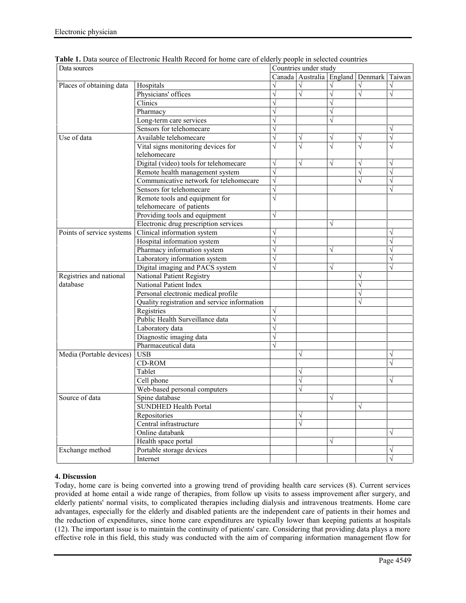| Data sources              |                                              | Countries under study |           |           |                                                 |            |
|---------------------------|----------------------------------------------|-----------------------|-----------|-----------|-------------------------------------------------|------------|
|                           |                                              |                       |           |           | Canada   Australia   England   Denmark   Taiwan |            |
| Places of obtaining data  | Hospitals                                    | $\sqrt{}$             | $\sqrt{}$ | $\sqrt{}$ | $\sqrt{}$                                       | $\sqrt{ }$ |
|                           | Physicians' offices                          | $\sqrt{}$             | $\sqrt{}$ |           |                                                 | $\sqrt{}$  |
|                           | Clinics                                      | $\sqrt{}$             |           |           |                                                 |            |
|                           | Pharmacy                                     | $\sqrt{}$             |           | $\sqrt{}$ |                                                 |            |
|                           | Long-term care services                      | $\sqrt{}$             |           | $\sqrt{}$ |                                                 |            |
|                           | Sensors for telehomecare                     | $\sqrt{}$             |           |           |                                                 | $\sqrt{}$  |
| Use of data               | Available telehomecare                       | $\sqrt{}$             | $\sqrt{}$ | V         | $\sqrt{}$                                       | $\sqrt{ }$ |
|                           | Vital signs monitoring devices for           | $\sqrt{}$             | $\sqrt{}$ | $\sqrt{}$ | $\sqrt{}$                                       | $\sqrt{}$  |
|                           | telehomecare                                 |                       |           |           |                                                 |            |
|                           | Digital (video) tools for telehomecare       | $\sqrt{}$             | $\sqrt{}$ | $\sqrt{}$ | $\sqrt{}$                                       | $\sqrt{ }$ |
|                           | Remote health management system              | $\sqrt{}$             |           |           | $\sqrt{}$                                       | $\sqrt{}$  |
|                           | Communicative network for telehomecare       | $\sqrt{}$             |           |           | $\sqrt{}$                                       | $\sqrt{}$  |
|                           | Sensors for telehomecare                     | $\sqrt{}$             |           |           |                                                 | $\sqrt{}$  |
|                           | Remote tools and equipment for               | $\sqrt{}$             |           |           |                                                 |            |
|                           | telehomecare of patients                     |                       |           |           |                                                 |            |
|                           | Providing tools and equipment                | $\sqrt{}$             |           |           |                                                 |            |
|                           | Electronic drug prescription services        |                       |           | $\sqrt{}$ |                                                 |            |
| Points of service systems | Clinical information system                  | $\sqrt{}$             |           |           |                                                 | $\sqrt{}$  |
|                           | Hospital information system                  | $\sqrt{}$             |           |           |                                                 | $\sqrt{}$  |
|                           | Pharmacy information system                  | $\sqrt{}$             |           | $\sqrt{}$ |                                                 | $\sqrt{ }$ |
|                           | Laboratory information system                | $\sqrt{}$             |           |           |                                                 |            |
|                           | Digital imaging and PACS system              | $\sqrt{}$             |           | $\sqrt{}$ |                                                 | $\sqrt{}$  |
| Registries and national   | National Patient Registry                    |                       |           |           | V                                               |            |
| database                  | National Patient Index                       |                       |           |           |                                                 |            |
|                           | Personal electronic medical profile          |                       |           |           | $\sqrt{}$                                       |            |
|                           | Quality registration and service information |                       |           |           |                                                 |            |
|                           | Registries                                   | $\sqrt{}$             |           |           |                                                 |            |
|                           | Public Health Surveillance data              | $\sqrt{}$             |           |           |                                                 |            |
|                           | Laboratory data                              | $\sqrt{}$             |           |           |                                                 |            |
|                           | Diagnostic imaging data                      | $\sqrt{}$             |           |           |                                                 |            |
|                           | Pharmaceutical data                          | $\sqrt{}$             |           |           |                                                 |            |
| Media (Portable devices)  | <b>USB</b>                                   |                       | $\sqrt{}$ |           |                                                 | $\sqrt{}$  |
|                           | <b>CD-ROM</b>                                |                       |           |           |                                                 | $\sqrt{}$  |
|                           | Tablet                                       |                       | V         |           |                                                 |            |
|                           | Cell phone                                   |                       | $\sqrt{}$ |           |                                                 | $\sqrt{}$  |
|                           | Web-based personal computers                 |                       | $\sqrt{}$ |           |                                                 |            |
| Source of data            | Spine database                               |                       |           | V         |                                                 |            |
|                           | <b>SUNDHED Health Portal</b>                 |                       |           |           | $\sqrt{}$                                       |            |
|                           | Repositories                                 |                       | $\sqrt{}$ |           |                                                 |            |
|                           | Central infrastructure                       |                       | $\sqrt{}$ |           |                                                 |            |
|                           | Online databank                              |                       |           |           |                                                 | $\sqrt{}$  |
|                           | Health space portal                          |                       |           | V         |                                                 |            |
| Exchange method           | Portable storage devices                     |                       |           |           |                                                 | $\sqrt{}$  |
|                           | Internet                                     |                       |           |           |                                                 | $\sqrt{ }$ |
|                           |                                              |                       |           |           |                                                 |            |

| Table 1. Data source of Electronic Health Record for home care of elderly people in selected countries |  |
|--------------------------------------------------------------------------------------------------------|--|
|--------------------------------------------------------------------------------------------------------|--|

# **4. Discussion**

Today, home care is being converted into a growing trend of providing health care services (8). Current services provided at home entail a wide range of therapies, from follow up visits to assess improvement after surgery, and elderly patients' normal visits, to complicated therapies including dialysis and intravenous treatments. Home care advantages, especially for the elderly and disabled patients are the independent care of patients in their homes and the reduction of expenditures, since home care expenditures are typically lower than keeping patients at hospitals (12). The important issue is to maintain the continuity of patients' care. Considering that providing data plays a more effective role in this field, this study was conducted with the aim of comparing information management flow for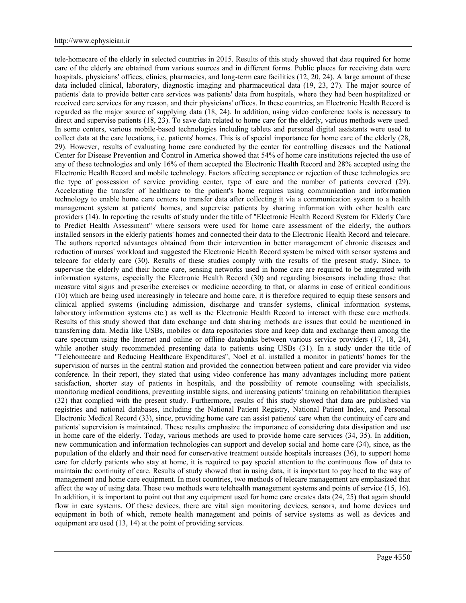tele-homecare of the elderly in selected countries in 2015. Results of this study showed that data required for home care of the elderly are obtained from various sources and in different forms. Public places for receiving data were hospitals, physicians' offices, clinics, pharmacies, and long-term care facilities (12, 20, 24). A large amount of these data included clinical, laboratory, diagnostic imaging and pharmaceutical data (19, 23, 27). The major source of patients' data to provide better care services was patients' data from hospitals, where they had been hospitalized or received care services for any reason, and their physicians' offices. In these countries, an Electronic Health Record is regarded as the major source of supplying data (18, 24). In addition, using video conference tools is necessary to direct and supervise patients (18, 23). To save data related to home care for the elderly, various methods were used. In some centers, various mobile-based technologies including tablets and personal digital assistants were used to collect data at the care locations, i.e. patients' homes. This is of special importance for home care of the elderly (28, 29). However, results of evaluating home care conducted by the center for controlling diseases and the National Center for Disease Prevention and Control in America showed that 54% of home care institutions rejected the use of any of these technologies and only 16% of them accepted the Electronic Health Record and 28% accepted using the Electronic Health Record and mobile technology. Factors affecting acceptance or rejection of these technologies are the type of possession of service providing center, type of care and the number of patients covered (29). Accelerating the transfer of healthcare to the patient's home requires using communication and information technology to enable home care centers to transfer data after collecting it via a communication system to a health management system at patients' homes, and supervise patients by sharing information with other health care providers (14). In reporting the results of study under the title of "Electronic Health Record System for Elderly Care to Predict Health Assessment" where sensors were used for home care assessment of the elderly, the authors installed sensors in the elderly patients' homes and connected their data to the Electronic Health Record and telecare. The authors reported advantages obtained from their intervention in better management of chronic diseases and reduction of nurses' workload and suggested the Electronic Health Record system be mixed with sensor systems and telecare for elderly care (30). Results of these studies comply with the results of the present study. Since, to supervise the elderly and their home care, sensing networks used in home care are required to be integrated with information systems, especially the Electronic Health Record (30) and regarding biosensors including those that measure vital signs and prescribe exercises or medicine according to that, or alarms in case of critical conditions (10) which are being used increasingly in telecare and home care, it is therefore required to equip these sensors and clinical applied systems (including admission, discharge and transfer systems, clinical information systems, laboratory information systems etc.) as well as the Electronic Health Record to interact with these care methods. Results of this study showed that data exchange and data sharing methods are issues that could be mentioned in transferring data. Media like USBs, mobiles or data repositories store and keep data and exchange them among the care spectrum using the Internet and online or offline databanks between various service providers (17, 18, 24), while another study recommended presenting data to patients using USBs (31). In a study under the title of "Telehomecare and Reducing Healthcare Expenditures", Noel et al. installed a monitor in patients' homes for the supervision of nurses in the central station and provided the connection between patient and care provider via video conference. In their report, they stated that using video conference has many advantages including more patient satisfaction, shorter stay of patients in hospitals, and the possibility of remote counseling with specialists, monitoring medical conditions, preventing instable signs, and increasing patients' training on rehabilitation therapies (32) that complied with the present study. Furthermore, results of this study showed that data are published via registries and national databases, including the National Patient Registry, National Patient Index, and Personal Electronic Medical Record (33), since, providing home care can assist patients' care when the continuity of care and patients' supervision is maintained. These results emphasize the importance of considering data dissipation and use in home care of the elderly. Today, various methods are used to provide home care services (34, 35). In addition, new communication and information technologies can support and develop social and home care (34), since, as the population of the elderly and their need for conservative treatment outside hospitals increases (36), to support home care for elderly patients who stay at home, it is required to pay special attention to the continuous flow of data to maintain the continuity of care. Results of study showed that in using data, it is important to pay heed to the way of management and home care equipment. In most countries, two methods of telecare management are emphasized that affect the way of using data. These two methods were telehealth management systems and points of service (15, 16). In addition, it is important to point out that any equipment used for home care creates data (24, 25) that again should flow in care systems. Of these devices, there are vital sign monitoring devices, sensors, and home devices and equipment in both of which, remote health management and points of service systems as well as devices and equipment are used (13, 14) at the point of providing services.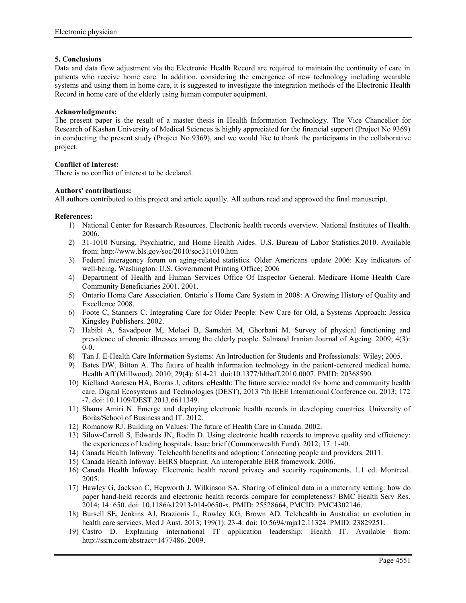### **5. Conclusions**

Data and data flow adjustment via the Electronic Health Record are required to maintain the continuity of care in patients who receive home care. In addition, considering the emergence of new technology including wearable systems and using them in home care, it is suggested to investigate the integration methods of the Electronic Health Record in home care of the elderly using human computer equipment.

### **Acknowledgments:**

The present paper is the result of a master thesis in Health Information Technology. The Vice Chancellor for Research of Kashan University of Medical Sciences is highly appreciated for the financial support (Project No 9369) in conducting the present study (Project No 9369), and we would like to thank the participants in the collaborative project.

### **Conflict of Interest:**

There is no conflict of interest to be declared.

### **Authors' contributions:**

All authors contributed to this project and article equally. All authors read and approved the final manuscript.

#### **References:**

- 1) National Center for Research Resources. Electronic health records overview. National Institutes of Health. 2006.
- 2) 31-1010 Nursing, Psychiatric, and Home Health Aides. U.S. Bureau of Labor Statistics.2010. Available from: http://www.bls.gov/soc/2010/soc311010.htm
- 3) Federal interagency forum on aging-related statistics. Older Americans update 2006: Key indicators of well-being. Washington: U.S. Government Printing Office; 2006
- 4) Department of Health and Human Services Office Of Inspector General. Medicare Home Health Care Community Beneficiaries 2001. 2001.
- 5) Ontario Home Care Association. Ontario's Home Care System in 2008: A Growing History of Quality and Excellence 2008.
- 6) Foote C, Stanners C. Integrating Care for Older People: New Care for Old, a Systems Approach: Jessica Kingsley Publishers. 2002.
- 7) Habibi A, Savadpoor M, Molaei B, Samshiri M, Ghorbani M. Survey of physical functioning and prevalence of chronic illnesses among the elderly people. Salmand Iranian Journal of Ageing. 2009; 4(3): 0-0.
- 8) Tan J. E-Health Care Information Systems: An Introduction for Students and Professionals: Wiley; 2005.
- 9) Bates DW, Bitton A. The future of health information technology in the patient-centered medical home. Health Aff (Millwood). 2010; 29(4): 614-21. doi:10.1377/hlthaff.2010.0007. PMID: 20368590.
- 10) Kielland Aanesen HA, Borras J, editors. eHealth: The future service model for home and community health care. Digital Ecosystems and Technologies (DEST), 2013 7th IEEE International Conference on. 2013; 172 -7. doi: 10.1109/DEST.2013.6611349.
- 11) Shams Amiri N. Emerge and deploying electronic health records in developing countries. University of Borås/School of Business and IT. 2012.
- 12) Romanow RJ. Building on Values: The future of Health Care in Canada. 2002.
- 13) Silow-Carroll S, Edwards JN, Rodin D. Using electronic health records to improve quality and efficiency: the experiences of leading hospitals. Issue brief (Commonwealth Fund). 2012; 17: 1-40.
- 14) Canada Health Infoway. Telehealth benefits and adoption: Connecting people and providers. 2011.
- 15) Canada Health Infoway. EHRS blueprint. An interoperable EHR framework. 2006.
- 16) Canada Health Infoway. Electronic health record privacy and security requirements. 1.1 ed. Montreal. 2005.
- 17) Hawley G, Jackson C, Hepworth J, Wilkinson SA. Sharing of clinical data in a maternity setting: how do paper hand-held records and electronic health records compare for completeness? BMC Health Serv Res. 2014; 14: 650. doi: 10.1186/s12913-014-0650-x. PMID: 25528664, PMCID: PMC4302146.
- 18) Bursell SE, Jenkins AJ, Brazionis L, Rowley KG, Brown AD. Telehealth in Australia: an evolution in health care services. Med J Aust. 2013; 199(1): 23-4. doi: 10.5694/mja12.11324. PMID: 23829251.
- 19) Castro D. Explaining international IT application leadership: Health IT. Available from: http://ssrn.com/abstract=1477486. 2009.